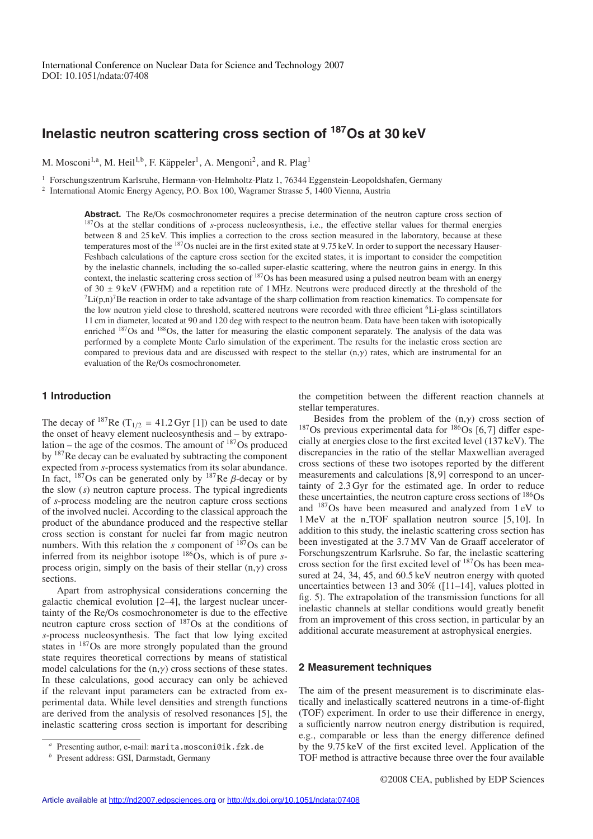# **Inelastic neutron scattering cross section of 187Os at 30 keV**

M. Mosconi<sup>1,a</sup>, M. Heil<sup>1,b</sup>, F. Käppeler<sup>1</sup>, A. Mengoni<sup>2</sup>, and R. Plag<sup>1</sup>

<sup>1</sup> Forschungszentrum Karlsruhe, Hermann-von-Helmholtz-Platz 1, 76344 Eggenstein-Leopoldshafen, Germany

<sup>2</sup> International Atomic Energy Agency, P.O. Box 100, Wagramer Strasse 5, 1400 Vienna, Austria

Abstract. The Re/Os cosmochronometer requires a precise determination of the neutron capture cross section of <sup>187</sup>Os at the stellar conditions of *s*-process nucleosynthesis, i.e., the effective stellar values for thermal energies between 8 and 25 keV. This implies a correction to the cross section measured in the laboratory, because at these temperatures most of the 187Os nuclei are in the first exited state at 9.75 keV. In order to support the necessary Hauser-Feshbach calculations of the capture cross section for the excited states, it is important to consider the competition by the inelastic channels, including the so-called super-elastic scattering, where the neutron gains in energy. In this context, the inelastic scattering cross section of <sup>187</sup>Os has been measured using a pulsed neutron beam with an energy of  $30 \pm 9 \text{ keV}$  (FWHM) and a repetition rate of 1 MHz. Neutrons were produced directly at the thres  ${}^{7}Li(p,n){}^{7}Be$  reaction in order to take advantage of the sharp collimation from reaction kinematics. To compensate for the low neutron yield close to threshold, scattered neutrons were recorded with three efficient <sup>6</sup>Li-glass scintillators 11 cm in diameter, located at 90 and 120 deg with respect to the neutron beam. Data have been taken with isotopically enriched <sup>187</sup>Os and <sup>188</sup>Os, the latter for measuring the elastic component separately. The analysis of the data was performed by a complete Monte Carlo simulation of the experiment. The results for the inelastic cross section are compared to previous data and are discussed with respect to the stellar  $(n, \gamma)$  rates, which are instrumental for an evaluation of the Re/Os cosmochronometer.

## **1 Introduction**

The decay of <sup>187</sup>Re (T<sub>1/2</sub> = 41.2 Gyr [1]) can be used to date the onset of heavy element nucleosynthesis and – by extrapolation – the age of the cosmos. The amount of  $187$ Os produced by 187Re decay can be evaluated by subtracting the component expected from *s*-process systematics from its solar abundance. In fact,  $187$ Os can be generated only by  $187$ Re  $\beta$ -decay or by the slow (*s*) neutron capture process. The typical ingredients of *s*-process modeling are the neutron capture cross sections of the involved nuclei. According to the classical approach the product of the abundance produced and the respective stellar cross section is constant for nuclei far from magic neutron numbers. With this relation the *s* component of  $187$ Os can be inferred from its neighbor isotope 186Os, which is of pure *s*process origin, simply on the basis of their stellar  $(n, \gamma)$  cross sections.

Apart from astrophysical considerations concerning the galactic chemical evolution [2–4], the largest nuclear uncertainty of the Re/Os cosmochronometer is due to the effective neutron capture cross section of 187Os at the conditions of *s*-process nucleosynthesis. The fact that low lying excited states in 187Os are more strongly populated than the ground state requires theoretical corrections by means of statistical model calculations for the  $(n, \gamma)$  cross sections of these states. In these calculations, good accuracy can only be achieved if the relevant input parameters can be extracted from experimental data. While level densities and strength functions are derived from the analysis of resolved resonances [5], the inelastic scattering cross section is important for describing the competition between the different reaction channels at stellar temperatures.

Besides from the problem of the  $(n, \gamma)$  cross section of  $187$ Os previous experimental data for  $186$ Os [6,7] differ especially at energies close to the first excited level (137 keV). The discrepancies in the ratio of the stellar Maxwellian averaged cross sections of these two isotopes reported by the different measurements and calculations [8,9] correspond to an uncertainty of 2.3 Gyr for the estimated age. In order to reduce these uncertainties, the neutron capture cross sections of 186Os and 187Os have been measured and analyzed from 1 eV to 1 MeV at the n\_TOF spallation neutron source [5,10]. In addition to this study, the inelastic scattering cross section has been investigated at the 3.7 MV Van de Graaff accelerator of Forschungszentrum Karlsruhe. So far, the inelastic scattering cross section for the first excited level of 187Os has been measured at 24, 34, 45, and 60.5 keV neutron energy with quoted uncertainties between 13 and 30% ([11–14], values plotted in fig. 5). The extrapolation of the transmission functions for all inelastic channels at stellar conditions would greatly benefit from an improvement of this cross section, in particular by an additional accurate measurement at astrophysical energies.

### **2 Measurement techniques**

The aim of the present measurement is to discriminate elastically and inelastically scattered neutrons in a time-of-flight (TOF) experiment. In order to use their difference in energy, a sufficiently narrow neutron energy distribution is required, e.g., comparable or less than the energy difference defined by the 9.75 keV of the first excited level. Application of the TOF method is attractive because three over the four available

*<sup>a</sup>* Presenting author, e-mail: marita.mosconi@ik.fzk.de

*<sup>b</sup>* Present address: GSI, Darmstadt, Germany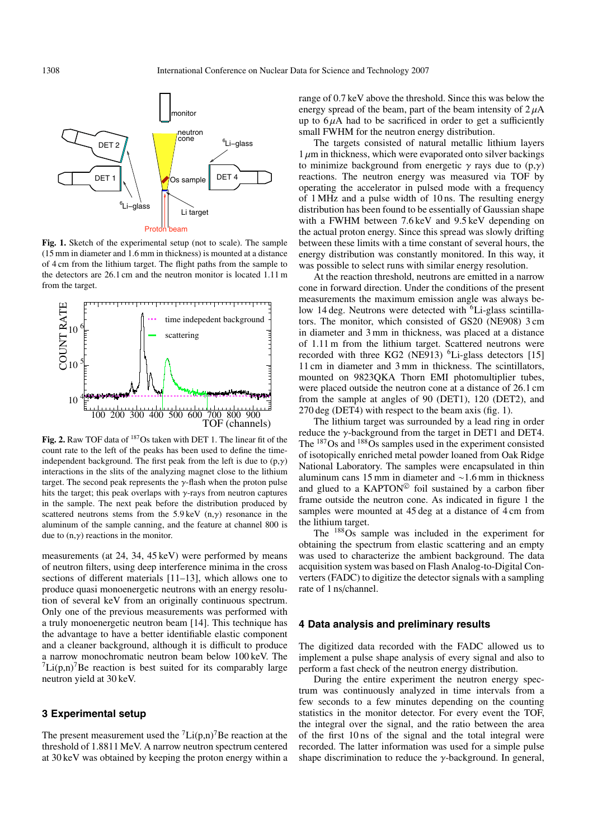

**Fig. 1.** Sketch of the experimental setup (not to scale). The sample (15 mm in diameter and 1.6 mm in thickness) is mounted at a distance of 4 cm from the lithium target. The flight paths from the sample to the detectors are 26.1 cm and the neutron monitor is located 1.11 m from the target.



**Fig. 2.** Raw TOF data of 187Os taken with DET 1. The linear fit of the count rate to the left of the peaks has been used to define the timeindependent background. The first peak from the left is due to  $(p, \gamma)$ interactions in the slits of the analyzing magnet close to the lithium target. The second peak represents the  $\gamma$ -flash when the proton pulse hits the target; this peak overlaps with  $\gamma$ -rays from neutron captures in the sample. The next peak before the distribution produced by scattered neutrons stems from the  $5.9 \text{ keV}$  (n, $\gamma$ ) resonance in the aluminum of the sample canning, and the feature at channel 800 is due to  $(n, \gamma)$  reactions in the monitor.

measurements (at 24, 34, 45 keV) were performed by means of neutron filters, using deep interference minima in the cross sections of different materials [11–13], which allows one to produce quasi monoenergetic neutrons with an energy resolution of several keV from an originally continuous spectrum. Only one of the previous measurements was performed with a truly monoenergetic neutron beam [14]. This technique has the advantage to have a better identifiable elastic component and a cleaner background, although it is difficult to produce a narrow monochromatic neutron beam below 100 keV. The  $\left[1/(p,n)\right]$  Be reaction is best suited for its comparably large neutron yield at 30 keV.

## **3 Experimental setup**

The present measurement used the  ${}^{7}$ Li(p,n)<sup>7</sup>Be reaction at the threshold of 1.8811 MeV. A narrow neutron spectrum centered at 30 keV was obtained by keeping the proton energy within a range of 0.7 keV above the threshold. Since this was below the energy spread of the beam, part of the beam intensity of  $2 \mu A$ up to  $6 \mu A$  had to be sacrificed in order to get a sufficiently small FWHM for the neutron energy distribution.

The targets consisted of natural metallic lithium layers  $1 \mu m$  in thickness, which were evaporated onto silver backings to minimize background from energetic  $\gamma$  rays due to  $(p,\gamma)$ reactions. The neutron energy was measured via TOF by operating the accelerator in pulsed mode with a frequency of 1 MHz and a pulse width of 10 ns. The resulting energy distribution has been found to be essentially of Gaussian shape with a FWHM between 7.6 keV and 9.5 keV depending on the actual proton energy. Since this spread was slowly drifting between these limits with a time constant of several hours, the energy distribution was constantly monitored. In this way, it was possible to select runs with similar energy resolution.

At the reaction threshold, neutrons are emitted in a narrow cone in forward direction. Under the conditions of the present measurements the maximum emission angle was always below 14 deg. Neutrons were detected with <sup>6</sup>Li-glass scintillators. The monitor, which consisted of GS20 (NE908) 3 cm in diameter and 3 mm in thickness, was placed at a distance of 1.11 m from the lithium target. Scattered neutrons were recorded with three KG2 (NE913)  $6Li$ -glass detectors [15] 11 cm in diameter and 3 mm in thickness. The scintillators, mounted on 9823QKA Thorn EMI photomultiplier tubes, were placed outside the neutron cone at a distance of 26.1 cm from the sample at angles of 90 (DET1), 120 (DET2), and 270 deg (DET4) with respect to the beam axis (fig. 1).

The lithium target was surrounded by a lead ring in order reduce the  $\gamma$ -background from the target in DET1 and DET4. The  $187$ Os and  $188\,\mathrm{Os}$  samples used in the experiment consisted of isotopically enriched metal powder loaned from Oak Ridge National Laboratory. The samples were encapsulated in thin aluminum cans 15 mm in diameter and ∼1.6 mm in thickness and glued to a KAPTON<sup>©</sup> foil sustained by a carbon fiber frame outside the neutron cone. As indicated in figure 1 the samples were mounted at 45 deg at a distance of 4 cm from the lithium target.

The 188Os sample was included in the experiment for obtaining the spectrum from elastic scattering and an empty was used to characterize the ambient background. The data acquisition system was based on Flash Analog-to-Digital Converters (FADC) to digitize the detector signals with a sampling rate of 1 ns/channel.

#### **4 Data analysis and preliminary results**

The digitized data recorded with the FADC allowed us to implement a pulse shape analysis of every signal and also to perform a fast check of the neutron energy distribution.

During the entire experiment the neutron energy spectrum was continuously analyzed in time intervals from a few seconds to a few minutes depending on the counting statistics in the monitor detector. For every event the TOF, the integral over the signal, and the ratio between the area of the first 10 ns of the signal and the total integral were recorded. The latter information was used for a simple pulse shape discrimination to reduce the  $\gamma$ -background. In general,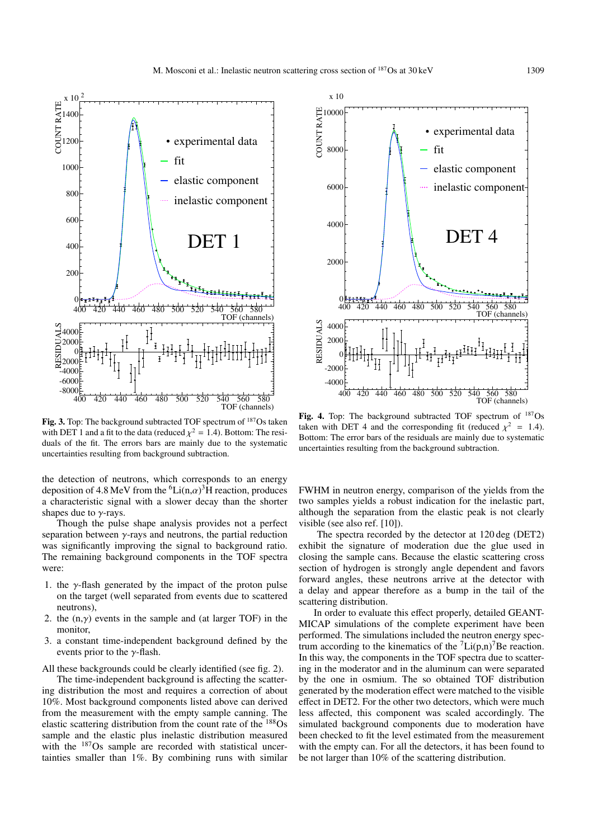

COUNT RATE

SL A U ID

TOF (channels)  $-8000 = 40$  $-600$  $^{\prime}400$ 400 420 440 460 480 500 520 540 560 580 Fig. 3. Top: The background subtracted TOF spectrum of <sup>187</sup>Os taken

with DET 1 and a fit to the data (reduced  $\chi^2 = 1.4$ ). Bottom: The residuals of the fit. The errors bars are mainly due to the systematic uncertainties resulting from background subtraction.

the detection of neutrons, which corresponds to an energy deposition of 4.8 MeV from the  ${}^{6}$ Li(n, $\alpha$ )<sup>3</sup>H reaction, produces a characteristic signal with a slower decay than the shorter shapes due to  $\gamma$ -rays.

Though the pulse shape analysis provides not a perfect separation between  $\gamma$ -rays and neutrons, the partial reduction was significantly improving the signal to background ratio. The remaining background components in the TOF spectra were:

- 1. the  $\gamma$ -flash generated by the impact of the proton pulse on the target (well separated from events due to scattered neutrons)
- 2. the  $(n, \gamma)$  events in the sample and (at larger TOF) in the monitor,
- 3. a constant time-independent background defined by the events prior to the  $\gamma$ -flash.
- All these backgrounds could be clearly identified (see fig. 2).

The time-independent background is affecting the scattering distribution the most and requires a correction of about 10%. Most background components listed above can derived from the measurement with the empty sample canning. The elastic scattering distribution from the count rate of the 188Os sample and the elastic plus inelastic distribution measured with the  $187$ Os sample are recorded with statistical uncertainties smaller than 1%. By combining runs with similar



Fig. 4. Top: The background subtracted TOF spectrum of  $^{187}Os$ taken with DET 4 and the corresponding fit (reduced  $\chi^2 = 1.4$ ). Bottom: The error bars of the residuals are mainly due to systematic uncertainties resulting from the background subtraction.

FWHM in neutron energy, comparison of the yields from the two samples yields a robust indication for the inelastic part, although the separation from the elastic peak is not clearly visible (see also ref. [10]).

The spectra recorded by the detector at 120 deg (DET2) exhibit the signature of moderation due the glue used in closing the sample cans. Because the elastic scattering cross section of hydrogen is strongly angle dependent and favors forward angles, these neutrons arrive at the detector with a delay and appear therefore as a bump in the tail of the scattering distribution.

In order to evaluate this effect properly, detailed GEANT-MICAP simulations of the complete experiment have been performed. The simulations included the neutron energy spectrum according to the kinematics of the  ${}^{7}Li(p,n){}^{7}Be$  reaction. In this way, the components in the TOF spectra due to scattering in the moderator and in the aluminum can were separated by the one in osmium. The so obtained TOF distribution generated by the moderation effect were matched to the visible effect in DET2. For the other two detectors, which were much less affected, this component was scaled accordingly. The simulated background components due to moderation have been checked to fit the level estimated from the measurement with the empty can. For all the detectors, it has been found to be not larger than 10% of the scattering distribution.